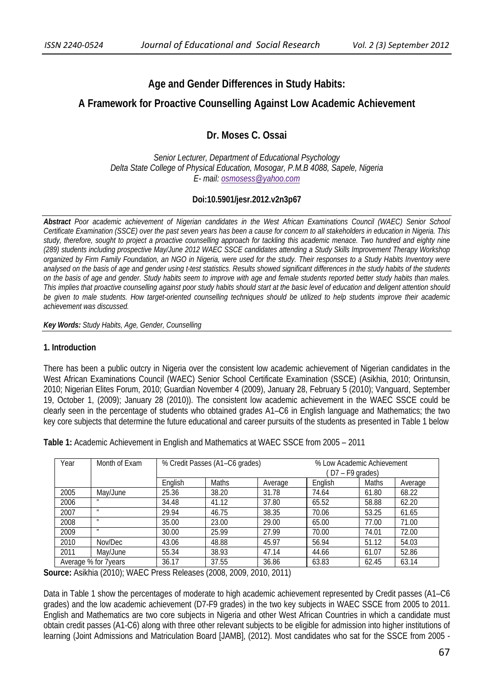# **Age and Gender Differences in Study Habits:**

## **A Framework for Proactive Counselling Against Low Academic Achievement**

## **Dr. Moses C. Ossai**

*Senior Lecturer, Department of Educational Psychology Delta State College of Physical Education, Mosogar, P.M.B 4088, Sapele, Nigeria E- mail: osmosess@yahoo.com*

## **Doi:10.5901/jesr.2012.v2n3p67**

*Abstract Poor academic achievement of Nigerian candidates in the West African Examinations Council (WAEC) Senior School Certificate Examination (SSCE) over the past seven years has been a cause for concern to all stakeholders in education in Nigeria. This study, therefore, sought to project a proactive counselling approach for tackling this academic menace. Two hundred and eighty nine (289) students including prospective May/June 2012 WAEC SSCE candidates attending a Study Skills Improvement Therapy Workshop organized by Firm Family Foundation, an NGO in Nigeria, were used for the study. Their responses to a Study Habits Inventory were analysed on the basis of age and gender using t-test statistics. Results showed significant differences in the study habits of the students on the basis of age and gender. Study habits seem to improve with age and female students reported better study habits than males. This implies that proactive counselling against poor study habits should start at the basic level of education and deligent attention should be given to male students. How target-oriented counselling techniques should be utilized to help students improve their academic achievement was discussed.* 

*Key Words: Study Habits, Age, Gender, Counselling*

#### **1. Introduction**

There has been a public outcry in Nigeria over the consistent low academic achievement of Nigerian candidates in the West African Examinations Council (WAEC) Senior School Certificate Examination (SSCE) (Asikhia, 2010; Orintunsin, 2010; Nigerian Elites Forum, 2010; Guardian November 4 (2009), January 28, February 5 (2010); Vanguard, September 19, October 1, (2009); January 28 (2010)). The consistent low academic achievement in the WAEC SSCE could be clearly seen in the percentage of students who obtained grades A1–C6 in English language and Mathematics; the two key core subjects that determine the future educational and career pursuits of the students as presented in Table 1 below

**Table 1:** Academic Achievement in English and Mathematics at WAEC SSCE from 2005 – 2011

| Year                 | Month of Exam     | % Credit Passes (A1-C6 grades) |       |         | % Low Academic Achievement<br>D7 – F9 grades) |       |         |  |
|----------------------|-------------------|--------------------------------|-------|---------|-----------------------------------------------|-------|---------|--|
|                      |                   | Enalish                        | Maths | Average | English                                       | Maths | Average |  |
| 2005                 | May/June          | 25.36                          | 38.20 | 31.78   | 74.64                                         | 61.80 | 68.22   |  |
| 2006                 | $^{\prime\prime}$ | 34.48                          | 41.12 | 37.80   | 65.52                                         | 58.88 | 62.20   |  |
| 2007                 | $^{\prime\prime}$ | 29.94                          | 46.75 | 38.35   | 70.06                                         | 53.25 | 61.65   |  |
| 2008                 | $^{\prime\prime}$ | 35.00                          | 23.00 | 29.00   | 65.00                                         | 77.00 | 71.00   |  |
| 2009                 | $^{\prime\prime}$ | 30.00                          | 25.99 | 27.99   | 70.00                                         | 74.01 | 72.00   |  |
| 2010                 | Nov/Dec           | 43.06                          | 48.88 | 45.97   | 56.94                                         | 51.12 | 54.03   |  |
| 2011                 | May/June          | 55.34                          | 38.93 | 47.14   | 44.66                                         | 61.07 | 52.86   |  |
| Average % for 7years |                   | 36.17                          | 37.55 | 36.86   | 63.83                                         | 62.45 | 63.14   |  |

**Source:** Asikhia (2010); WAEC Press Releases (2008, 2009, 2010, 2011)

Data in Table 1 show the percentages of moderate to high academic achievement represented by Credit passes (A1–C6 grades) and the low academic achievement (D7-F9 grades) in the two key subjects in WAEC SSCE from 2005 to 2011. English and Mathematics are two core subjects in Nigeria and other West African Countries in which a candidate must obtain credit passes (A1-C6) along with three other relevant subjects to be eligible for admission into higher institutions of learning (Joint Admissions and Matriculation Board [JAMB], (2012). Most candidates who sat for the SSCE from 2005 -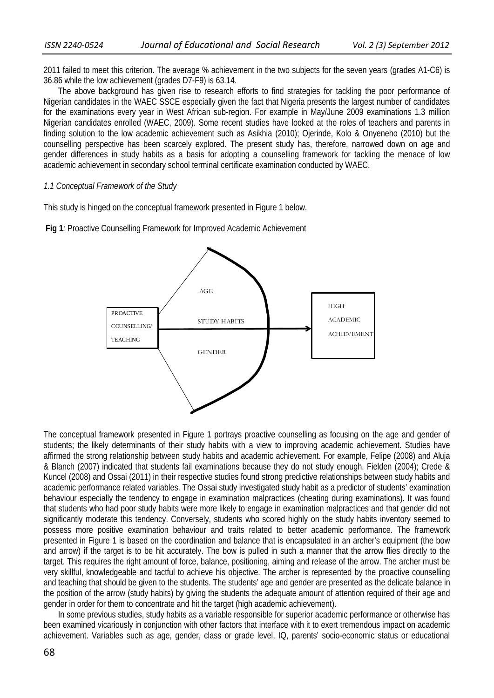2011 failed to meet this criterion. The average % achievement in the two subjects for the seven years (grades A1-C6) is 36.86 while the low achievement (grades D7-F9) is 63.14.

 The above background has given rise to research efforts to find strategies for tackling the poor performance of Nigerian candidates in the WAEC SSCE especially given the fact that Nigeria presents the largest number of candidates for the examinations every year in West African sub-region. For example in May/June 2009 examinations 1.3 million Nigerian candidates enrolled (WAEC, 2009). Some recent studies have looked at the roles of teachers and parents in finding solution to the low academic achievement such as Asikhia (2010); Ojerinde, Kolo & Onyeneho (2010) but the counselling perspective has been scarcely explored. The present study has, therefore, narrowed down on age and gender differences in study habits as a basis for adopting a counselling framework for tackling the menace of low academic achievement in secondary school terminal certificate examination conducted by WAEC.

#### *1.1 Conceptual Framework of the Study*

This study is hinged on the conceptual framework presented in Figure 1 below.

 **Fig 1***:* Proactive Counselling Framework for Improved Academic Achievement



The conceptual framework presented in Figure 1 portrays proactive counselling as focusing on the age and gender of students; the likely determinants of their study habits with a view to improving academic achievement. Studies have affirmed the strong relationship between study habits and academic achievement. For example, Felipe (2008) and Aluja & Blanch (2007) indicated that students fail examinations because they do not study enough. Fielden (2004); Crede & Kuncel (2008) and Ossai (2011) in their respective studies found strong predictive relationships between study habits and academic performance related variables. The Ossai study investigated study habit as a predictor of students' examination behaviour especially the tendency to engage in examination malpractices (cheating during examinations). It was found that students who had poor study habits were more likely to engage in examination malpractices and that gender did not significantly moderate this tendency. Conversely, students who scored highly on the study habits inventory seemed to possess more positive examination behaviour and traits related to better academic performance. The framework presented in Figure 1 is based on the coordination and balance that is encapsulated in an archer's equipment (the bow and arrow) if the target is to be hit accurately. The bow is pulled in such a manner that the arrow flies directly to the target. This requires the right amount of force, balance, positioning, aiming and release of the arrow. The archer must be very skillful, knowledgeable and tactful to achieve his objective. The archer is represented by the proactive counselling and teaching that should be given to the students. The students' age and gender are presented as the delicate balance in the position of the arrow (study habits) by giving the students the adequate amount of attention required of their age and gender in order for them to concentrate and hit the target (high academic achievement).

 In some previous studies, study habits as a variable responsible for superior academic performance or otherwise has been examined vicariously in conjunction with other factors that interface with it to exert tremendous impact on academic achievement. Variables such as age, gender, class or grade level, IQ, parents' socio-economic status or educational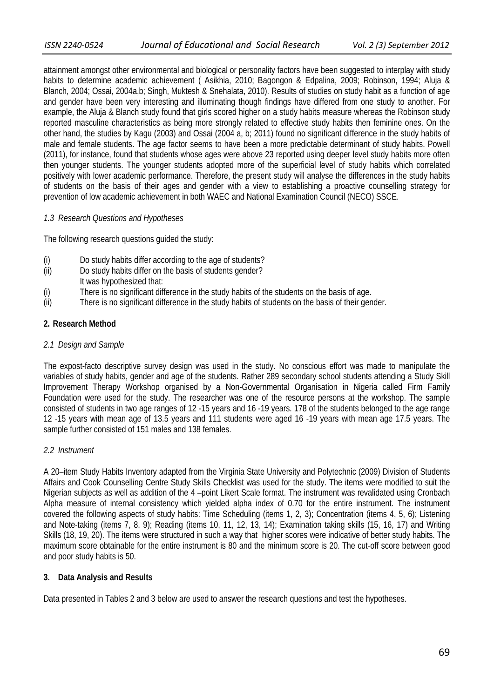attainment amongst other environmental and biological or personality factors have been suggested to interplay with study habits to determine academic achievement ( Asikhia, 2010; Bagongon & Edpalina, 2009; Robinson, 1994; Aluja & Blanch, 2004; Ossai, 2004a,b; Singh, Muktesh & Snehalata, 2010). Results of studies on study habit as a function of age and gender have been very interesting and illuminating though findings have differed from one study to another. For example, the Aluja & Blanch study found that girls scored higher on a study habits measure whereas the Robinson study reported masculine characteristics as being more strongly related to effective study habits then feminine ones. On the other hand, the studies by Kagu (2003) and Ossai (2004 a, b; 2011) found no significant difference in the study habits of male and female students. The age factor seems to have been a more predictable determinant of study habits. Powell (2011), for instance, found that students whose ages were above 23 reported using deeper level study habits more often then younger students. The younger students adopted more of the superficial level of study habits which correlated positively with lower academic performance. Therefore, the present study will analyse the differences in the study habits of students on the basis of their ages and gender with a view to establishing a proactive counselling strategy for prevention of low academic achievement in both WAEC and National Examination Council (NECO) SSCE.

## *1.3 Research Questions and Hypotheses*

The following research questions guided the study:

- (i) Do study habits differ according to the age of students?
- (ii) Do study habits differ on the basis of students gender?
- It was hypothesized that:
- (i) There is no significant difference in the study habits of the students on the basis of age.
- (ii) There is no significant difference in the study habits of students on the basis of their gender.

## **2. Research Method**

#### *2.1 Design and Sample*

The expost-facto descriptive survey design was used in the study. No conscious effort was made to manipulate the variables of study habits, gender and age of the students. Rather 289 secondary school students attending a Study Skill Improvement Therapy Workshop organised by a Non-Governmental Organisation in Nigeria called Firm Family Foundation were used for the study. The researcher was one of the resource persons at the workshop. The sample consisted of students in two age ranges of 12 -15 years and 16 -19 years. 178 of the students belonged to the age range 12 -15 years with mean age of 13.5 years and 111 students were aged 16 -19 years with mean age 17.5 years. The sample further consisted of 151 males and 138 females.

#### *2.2 Instrument*

A 20–item Study Habits Inventory adapted from the Virginia State University and Polytechnic (2009) Division of Students Affairs and Cook Counselling Centre Study Skills Checklist was used for the study. The items were modified to suit the Nigerian subjects as well as addition of the 4 –point Likert Scale format. The instrument was revalidated using Cronbach Alpha measure of internal consistency which yielded alpha index of 0.70 for the entire instrument. The instrument covered the following aspects of study habits: Time Scheduling (items 1, 2, 3); Concentration (items 4, 5, 6); Listening and Note-taking (items 7, 8, 9); Reading (items 10, 11, 12, 13, 14); Examination taking skills (15, 16, 17) and Writing Skills (18, 19, 20). The items were structured in such a way that higher scores were indicative of better study habits. The maximum score obtainable for the entire instrument is 80 and the minimum score is 20. The cut-off score between good and poor study habits is 50.

#### **3. Data Analysis and Results**

Data presented in Tables 2 and 3 below are used to answer the research questions and test the hypotheses.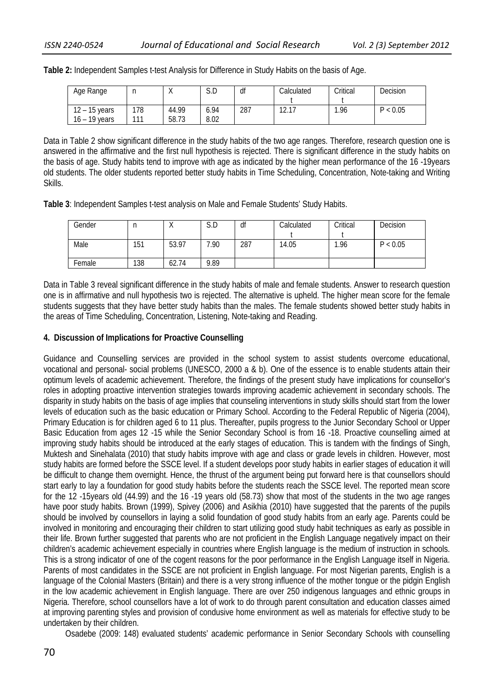| Age Range                          | n          | $\cdots$       | $\sim$ $\sim$<br>S.U | df  | Calculated       | Critical | Decision |
|------------------------------------|------------|----------------|----------------------|-----|------------------|----------|----------|
| $12 - 15$ years<br>$16 - 19$ vears | 178<br>111 | 44.99<br>58.73 | 6.94<br>8.02         | 287 | 12 17<br>12. I I | ∣.96     | P < 0.05 |

**Table 2:** Independent Samples t-test Analysis for Difference in Study Habits on the basis of Age.

Data in Table 2 show significant difference in the study habits of the two age ranges. Therefore, research question one is answered in the affirmative and the first null hypothesis is rejected. There is significant difference in the study habits on the basis of age. Study habits tend to improve with age as indicated by the higher mean performance of the 16 -19years old students. The older students reported better study habits in Time Scheduling, Concentration, Note-taking and Writing Skills.

**Table 3**: Independent Samples t-test analysis on Male and Female Students' Study Habits.

| Gender | Ш   |       | S.D  | df  | Calculated | Critical | Decision |
|--------|-----|-------|------|-----|------------|----------|----------|
|        |     |       |      |     |            |          |          |
| Male   | 151 | 53.97 | 7.90 | 287 | 14.05      | .96      | P < 0.05 |
|        |     |       |      |     |            |          |          |
| Female | 138 | 62.74 | 9.89 |     |            |          |          |

Data in Table 3 reveal significant difference in the study habits of male and female students. Answer to research question one is in affirmative and null hypothesis two is rejected. The alternative is upheld. The higher mean score for the female students suggests that they have better study habits than the males. The female students showed better study habits in the areas of Time Scheduling, Concentration, Listening, Note-taking and Reading.

## **4. Discussion of Implications for Proactive Counselling**

Guidance and Counselling services are provided in the school system to assist students overcome educational, vocational and personal- social problems (UNESCO, 2000 a & b). One of the essence is to enable students attain their optimum levels of academic achievement. Therefore, the findings of the present study have implications for counsellor's roles in adopting proactive intervention strategies towards improving academic achievement in secondary schools. The disparity in study habits on the basis of age implies that counseling interventions in study skills should start from the lower levels of education such as the basic education or Primary School. According to the Federal Republic of Nigeria (2004), Primary Education is for children aged 6 to 11 plus. Thereafter, pupils progress to the Junior Secondary School or Upper Basic Education from ages 12 -15 while the Senior Secondary School is from 16 -18. Proactive counselling aimed at improving study habits should be introduced at the early stages of education. This is tandem with the findings of Singh, Muktesh and Sinehalata (2010) that study habits improve with age and class or grade levels in children. However, most study habits are formed before the SSCE level. If a student develops poor study habits in earlier stages of education it will be difficult to change them overnight. Hence, the thrust of the argument being put forward here is that counsellors should start early to lay a foundation for good study habits before the students reach the SSCE level. The reported mean score for the 12 -15years old (44.99) and the 16 -19 years old (58.73) show that most of the students in the two age ranges have poor study habits. Brown (1999), Spivey (2006) and Asikhia (2010) have suggested that the parents of the pupils should be involved by counsellors in laying a solid foundation of good study habits from an early age. Parents could be involved in monitoring and encouraging their children to start utilizing good study habit techniques as early as possible in their life. Brown further suggested that parents who are not proficient in the English Language negatively impact on their children's academic achievement especially in countries where English language is the medium of instruction in schools. This is a strong indicator of one of the cogent reasons for the poor performance in the English Language itself in Nigeria. Parents of most candidates in the SSCE are not proficient in English language. For most Nigerian parents, English is a language of the Colonial Masters (Britain) and there is a very strong influence of the mother tongue or the pidgin English in the low academic achievement in English language. There are over 250 indigenous languages and ethnic groups in Nigeria. Therefore, school counsellors have a lot of work to do through parent consultation and education classes aimed at improving parenting styles and provision of condusive home environment as well as materials for effective study to be undertaken by their children.

Osadebe (2009: 148) evaluated students' academic performance in Senior Secondary Schools with counselling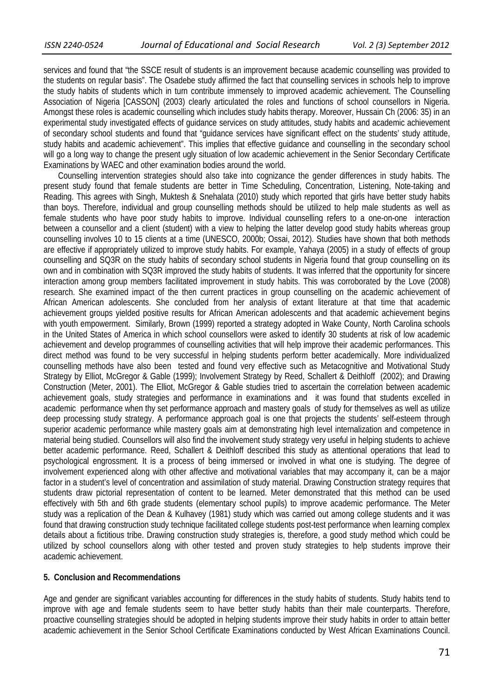services and found that "the SSCE result of students is an improvement because academic counselling was provided to the students on regular basis". The Osadebe study affirmed the fact that counselling services in schools help to improve the study habits of students which in turn contribute immensely to improved academic achievement. The Counselling Association of Nigeria [CASSON] (2003) clearly articulated the roles and functions of school counsellors in Nigeria. Amongst these roles is academic counselling which includes study habits therapy. Moreover, Hussain Ch (2006: 35) in an experimental study investigated effects of guidance services on study attitudes, study habits and academic achievement of secondary school students and found that "guidance services have significant effect on the students' study attitude, study habits and academic achievement". This implies that effective guidance and counselling in the secondary school will go a long way to change the present ugly situation of low academic achievement in the Senior Secondary Certificate Examinations by WAEC and other examination bodies around the world.

 Counselling intervention strategies should also take into cognizance the gender differences in study habits. The present study found that female students are better in Time Scheduling, Concentration, Listening, Note-taking and Reading. This agrees with Singh, Muktesh & Snehalata (2010) study which reported that girls have better study habits than boys. Therefore, individual and group counselling methods should be utilized to help male students as well as female students who have poor study habits to improve. Individual counselling refers to a one-on-one interaction between a counsellor and a client (student) with a view to helping the latter develop good study habits whereas group counselling involves 10 to 15 clients at a time (UNESCO, 2000b; Ossai, 2012). Studies have shown that both methods are effective if appropriately utilized to improve study habits. For example, Yahaya (2005) in a study of effects of group counselling and SQ3R on the study habits of secondary school students in Nigeria found that group counselling on its own and in combination with SQ3R improved the study habits of students. It was inferred that the opportunity for sincere interaction among group members facilitated improvement in study habits. This was corroborated by the Love (2008) research. She examined impact of the then current practices in group counselling on the academic achievement of African American adolescents. She concluded from her analysis of extant literature at that time that academic achievement groups yielded positive results for African American adolescents and that academic achievement begins with youth empowerment. Similarly, Brown (1999) reported a strategy adopted in Wake County, North Carolina schools in the United States of America in which school counsellors were asked to identify 30 students at risk of low academic achievement and develop programmes of counselling activities that will help improve their academic performances. This direct method was found to be very successful in helping students perform better academically. More individualized counselling methods have also been tested and found very effective such as Metacognitive and Motivational Study Strategy by Elliot, McGregor & Gable (1999); Involvement Strategy by Reed, Schallert & Deithloff (2002); and Drawing Construction (Meter, 2001). The Elliot, McGregor & Gable studies tried to ascertain the correlation between academic achievement goals, study strategies and performance in examinations and it was found that students excelled in academic performance when thy set performance approach and mastery goals of study for themselves as well as utilize deep processing study strategy. A performance approach goal is one that projects the students' self-esteem through superior academic performance while mastery goals aim at demonstrating high level internalization and competence in material being studied. Counsellors will also find the involvement study strategy very useful in helping students to achieve better academic performance. Reed, Schallert & Deithloff described this study as attentional operations that lead to psychological engrossment. It is a process of being immersed or involved in what one is studying. The degree of involvement experienced along with other affective and motivational variables that may accompany it, can be a major factor in a student's level of concentration and assimilation of study material. Drawing Construction strategy requires that students draw pictorial representation of content to be learned. Meter demonstrated that this method can be used effectively with 5th and 6th grade students (elementary school pupils) to improve academic performance. The Meter study was a replication of the Dean & Kulhavey (1981) study which was carried out among college students and it was found that drawing construction study technique facilitated college students post-test performance when learning complex details about a fictitious tribe. Drawing construction study strategies is, therefore, a good study method which could be utilized by school counsellors along with other tested and proven study strategies to help students improve their academic achievement.

#### **5. Conclusion and Recommendations**

Age and gender are significant variables accounting for differences in the study habits of students. Study habits tend to improve with age and female students seem to have better study habits than their male counterparts. Therefore, proactive counselling strategies should be adopted in helping students improve their study habits in order to attain better academic achievement in the Senior School Certificate Examinations conducted by West African Examinations Council.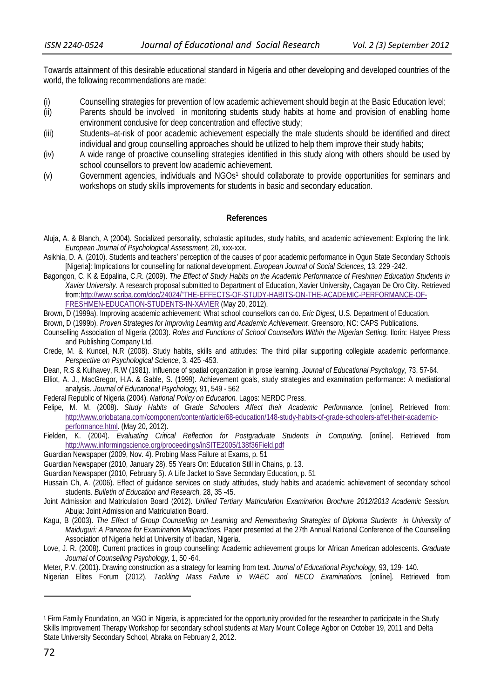Towards attainment of this desirable educational standard in Nigeria and other developing and developed countries of the world, the following recommendations are made:

- (i) Counselling strategies for prevention of low academic achievement should begin at the Basic Education level;
- (ii) Parents should be involved in monitoring students study habits at home and provision of enabling home environment condusive for deep concentration and effective study;
- (iii) Students–at-risk of poor academic achievement especially the male students should be identified and direct individual and group counselling approaches should be utilized to help them improve their study habits;
- (iv) A wide range of proactive counselling strategies identified in this study along with others should be used by school counsellors to prevent low academic achievement.
- (v) Government agencies, individuals and NGOs1 should collaborate to provide opportunities for seminars and workshops on study skills improvements for students in basic and secondary education.

## **References**

- Aluja, A. & Blanch, A (2004). Socialized personality, scholastic aptitudes, study habits, and academic achievement: Exploring the link. *European Journal of Psychological Assessment,* 20, xxx-xxx.
- Asikhia, D. A. (2010). Students and teachers' perception of the causes of poor academic performance in Ogun State Secondary Schools [Nigeria]: Implications for counselling for national development. *European Journal of Social Sciences,* 13, 229 -242.
- Bagongon, C. K & Edpalina, C.R. (2009). *The Effect of Study Habits on the Academic Performance of Freshmen Education Students in Xavier University.* A research proposal submitted to Department of Education, Xavier University, Cagayan De Oro City. Retrieved from:http://www.scriba.com/doc/24024/"THE-EFFECTS-OF-STUDY-HABITS-ON-THE-ACADEMIC-PERFORMANCE-OF-FRESHMEN-EDUCATION-STUDENTS-IN-XAVIER (May 20, 2012).
- Brown, D (1999a). Improving academic achievement: What school counsellors can do. *Eric Digest,* U.S. Department of Education.

Brown, D (1999b). *Proven Strategies for Improving Learning and Academic Achievement.* Greensoro, NC: CAPS Publications.

- Counselling Association of Nigeria (2003). *Roles and Functions of School Counsellors Within the Nigerian Setting.* Ilorin: Hatyee Press and Publishing Company Ltd.
- Crede, M. & Kuncel, N.R (2008). Study habits, skills and attitudes: The third pillar supporting collegiate academic performance. *Perspective on Psychological Science,* 3, 425 -453.
- Dean, R.S & Kulhavey, R.W (1981). Influence of spatial organization in prose learning. *Journal of Educational Psychology,* 73, 57-64.
- Elliot, A. J., MacGregor, H.A. & Gable, S. (1999). Achievement goals, study strategies and examination performance: A mediational analysis. *Journal of Educational Psychology,* 91, 549 - 562
- Federal Republic of Nigeria (2004). *National Policy on Education.* Lagos: NERDC Press.
- Felipe, M. M. (2008). *Study Habits of Grade Schoolers Affect their Academic Performance.* [online]. Retrieved from: http://www.oriobatana.com/component/content/article/68-education/148-study-habits-of-grade-schoolers-affet-their-academicperformance.html. (May 20, 2012).
- Fielden, K. (2004). *Evaluating Critical Reflection for Postgraduate Students in Computing.* [online]. Retrieved from http://www.informingscience.org/proceedings/inSITE2005/138f36Field.pdf
- Guardian Newspaper (2009, Nov. 4). Probing Mass Failure at Exams, p. 51

<u> 1989 - Johann Barn, mars eta inperiodo</u>

- Guardian Newspaper (2010, January 28). 55 Years On: Education Still in Chains, p. 13.
- Guardian Newspaper (2010, February 5). A Life Jacket to Save Secondary Education, p. 51
- Hussain Ch, A. (2006). Effect of guidance services on study attitudes, study habits and academic achievement of secondary school students. *Bulletin of Education and Research,* 28, 35 -45.
- Joint Admission and Matriculation Board (2012). *Unified Tertiary Matriculation Examination Brochure 2012/2013 Academic Session.*  Abuja: Joint Admission and Matriculation Board.
- Kagu, B (2003). *The Effect of Group Counselling on Learning and Remembering Strategies of Diploma Students in University of Maiduguri: A Panacea for Examination Malpractices.* Paper presented at the 27th Annual National Conference of the Counselling Association of Nigeria held at University of Ibadan, Nigeria.
- Love, J. R. (2008). Current practices in group counselling: Academic achievement groups for African American adolescents. *Graduate Journal of Counselling Psychology,* 1, 50 -64.
- Meter, P.V. (2001). Drawing construction as a strategy for learning from text. *Journal of Educational Psychology,* 93, 129- 140.
- Nigerian Elites Forum (2012). *Tackling Mass Failure in WAEC and NECO Examinations.* [online]. Retrieved from

<sup>1</sup> Firm Family Foundation, an NGO in Nigeria, is appreciated for the opportunity provided for the researcher to participate in the Study Skills Improvement Therapy Workshop for secondary school students at Mary Mount College Agbor on October 19, 2011 and Delta State University Secondary School, Abraka on February 2, 2012.